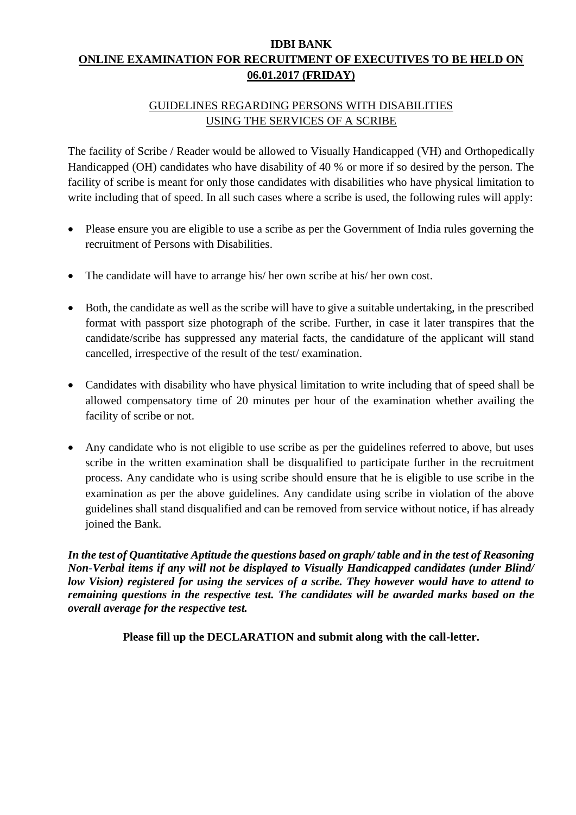## **IDBI BANK ONLINE EXAMINATION FOR RECRUITMENT OF EXECUTIVES TO BE HELD ON 06.01.2017 (FRIDAY)**

## GUIDELINES REGARDING PERSONS WITH DISABILITIES USING THE SERVICES OF A SCRIBE

The facility of Scribe / Reader would be allowed to Visually Handicapped (VH) and Orthopedically Handicapped (OH) candidates who have disability of 40 % or more if so desired by the person. The facility of scribe is meant for only those candidates with disabilities who have physical limitation to write including that of speed. In all such cases where a scribe is used, the following rules will apply:

- Please ensure you are eligible to use a scribe as per the Government of India rules governing the recruitment of Persons with Disabilities.
- The candidate will have to arrange his/ her own scribe at his/ her own cost.
- Both, the candidate as well as the scribe will have to give a suitable undertaking, in the prescribed format with passport size photograph of the scribe. Further, in case it later transpires that the candidate/scribe has suppressed any material facts, the candidature of the applicant will stand cancelled, irrespective of the result of the test/ examination.
- Candidates with disability who have physical limitation to write including that of speed shall be allowed compensatory time of 20 minutes per hour of the examination whether availing the facility of scribe or not.
- Any candidate who is not eligible to use scribe as per the guidelines referred to above, but uses scribe in the written examination shall be disqualified to participate further in the recruitment process. Any candidate who is using scribe should ensure that he is eligible to use scribe in the examination as per the above guidelines. Any candidate using scribe in violation of the above guidelines shall stand disqualified and can be removed from service without notice, if has already joined the Bank.

*In the test of Quantitative Aptitude the questions based on graph/ table and in the test of Reasoning Non-Verbal items if any will not be displayed to Visually Handicapped candidates (under Blind/ low Vision) registered for using the services of a scribe. They however would have to attend to remaining questions in the respective test. The candidates will be awarded marks based on the overall average for the respective test.* 

**Please fill up the DECLARATION and submit along with the call-letter.**